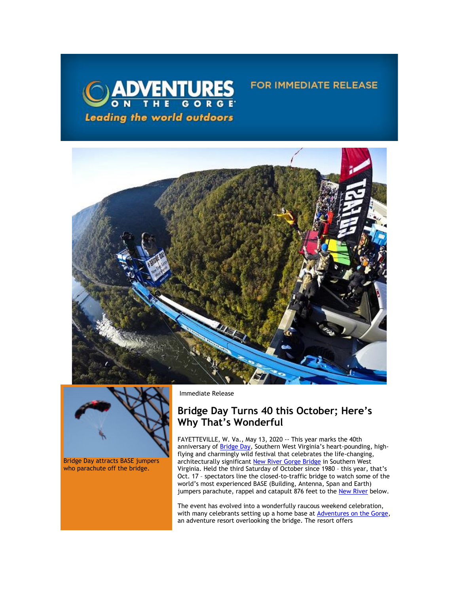

# FOR IMMEDIATE RELEASE





Bridge Day attracts BASE jumpers who parachute off the bridge.

Immediate Release

# **Bridge Day Turns 40 this October; Here's Why That's Wonderful**

FAYETTEVILLE, W. Va., May 13, 2020 -- This year marks the 40th anniversary of **Bridge Day**, Southern West Virginia's heart-pounding, highflying and charmingly wild festival that celebrates the life-changing, architecturally significant <mark>New River Gorge Bridge</mark> in Southern West Virginia. Held the third Saturday of October since 1980 – this year, that's Oct. 17 – spectators line the closed-to-traffic bridge to watch some of the world's most experienced BASE (Building, Antenna, Span and Earth) jumpers parachute, rappel and catapult 876 feet to the [New River](https://click.icptrack.com/icp/relay.php?r=13440961&msgid=453547&act=3SPQ&c=1378153&destination=https%3A%2F%2Fwww.nps.gov%2Fneri%2Findex.htm&cf=13608&v=7a55c2f9fbd36050fd920611b4f9f5233236fe343627cd8afd59cdc1b46b572d) below.

The event has evolved into a wonderfully raucous weekend celebration, with many celebrants setting up a home base at **Adventures on the Gorge**, an adventure resort overlooking the bridge. The resort offers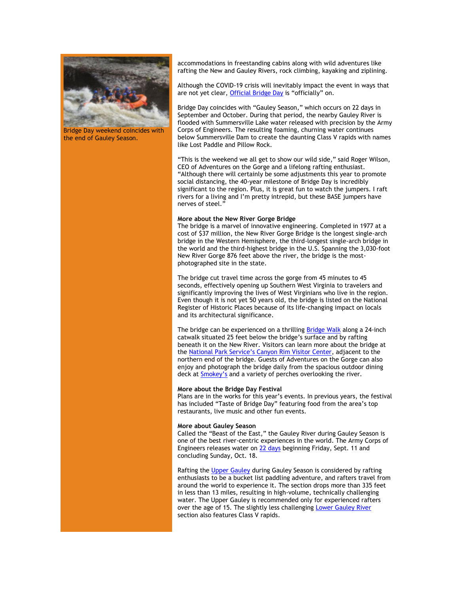

Bridge Day weekend coincides with the end of Gauley Season.

accommodations in freestanding cabins along with wild adventures like rafting the New and Gauley Rivers, rock climbing, kayaking and ziplining.

Although the COVID-19 crisis will inevitably impact the event in ways that are not yet clear[, Official Bridge Day](https://click.icptrack.com/icp/relay.php?r=13440961&msgid=453547&act=3SPQ&c=1378153&destination=https%3A%2F%2Fofficialbridgeday.com%2F&cf=13608&v=ed7372037ce5b829feaaa3b140c686fd15c820a077b2388d1957708154fb7133) is "officially" on.

Bridge Day coincides with "Gauley Season," which occurs on 22 days in September and October. During that period, the nearby Gauley River is flooded with Summersville Lake water released with precision by the Army Corps of Engineers. The resulting foaming, churning water continues below Summersville Dam to create the daunting Class V rapids with names like Lost Paddle and Pillow Rock.

"This is the weekend we all get to show our wild side," said Roger Wilson, CEO of Adventures on the Gorge and a lifelong rafting enthusiast. "Although there will certainly be some adjustments this year to promote social distancing, the 40-year milestone of Bridge Day is incredibly significant to the region. Plus, it is great fun to watch the jumpers. I raft rivers for a living and I'm pretty intrepid, but these BASE jumpers have nerves of steel."

# **More about the New River Gorge Bridge**

The bridge is a marvel of innovative engineering. Completed in 1977 at a cost of \$37 million, the New River Gorge Bridge is the longest single-arch bridge in the Western Hemisphere, the third-longest single-arch bridge in the world and the third-highest bridge in the U.S. Spanning the 3,030-foot New River Gorge 876 feet above the river, the bridge is the mostphotographed site in the state.

The bridge cut travel time across the gorge from 45 minutes to 45 seconds, effectively opening up Southern West Virginia to travelers and significantly improving the lives of West Virginians who live in the region. Even though it is not yet 50 years old, the bridge is listed on the National Register of Historic Places because of its life-changing impact on locals and its architectural significance.

The bridge can be experienced on a thrilling **Bridge Walk** along a 24-inch catwalk situated 25 feet below the bridge's surface and by rafting beneath it on the New River. Visitors can learn more about the bridge at the [National Park Service's Canyon Rim Visitor Center](https://click.icptrack.com/icp/relay.php?r=13440961&msgid=453547&act=3SPQ&c=1378153&destination=https%3A%2F%2Fwww.nps.gov%2Fneri%2Findex.htm&cf=13608&v=7a55c2f9fbd36050fd920611b4f9f5233236fe343627cd8afd59cdc1b46b572d), adjacent to the northern end of the bridge. Guests of Adventures on the Gorge can also enjoy and photograph the bridge daily from the spacious outdoor dining deck at [Smokey's](https://click.icptrack.com/icp/relay.php?r=13440961&msgid=453547&act=3SPQ&c=1378153&destination=https%3A%2F%2Fadventuresonthegorge.com%2Fdining%2F&cf=13608&v=cb4dcbf376ae063e507b051c136ce1983cde137799f1c5dca5086b8417adf333) and a variety of perches overlooking the river.

#### **More about the Bridge Day Festival**

Plans are in the works for this year's events. In previous years, the festival has included "Taste of Bridge Day" featuring food from the area's top restaurants, live music and other fun events.

## **More about Gauley Season**

Called the "Beast of the East," the Gauley River during Gauley Season is one of the best river-centric experiences in the world. The Army Corps of Engineers releases water on [22 days](https://click.icptrack.com/icp/relay.php?r=13440961&msgid=453547&act=3SPQ&c=1378153&destination=https%3A%2F%2Fadventuresonthegorge.com%2Funcategorized%2Fgauley-release-dates-calendar%2F&cf=13608&v=ff31ba0554bf660a6e261e1ee472269c2e1012eb54897798e01484b5de8bce5d) beginning Friday, Sept. 11 and concluding Sunday, Oct. 18.

Rafting the [Upper Gauley](https://click.icptrack.com/icp/relay.php?r=13440961&msgid=453547&act=3SPQ&c=1378153&destination=https%3A%2F%2Fadventuresonthegorge.com%2Funcategorized%2Fgauley-release-dates-calendar%2F&cf=13608&v=ff31ba0554bf660a6e261e1ee472269c2e1012eb54897798e01484b5de8bce5d) during Gauley Season is considered by rafting enthusiasts to be a bucket list paddling adventure, and rafters travel from around the world to experience it. The section drops more than 335 feet in less than 13 miles, resulting in high-volume, technically challenging water. The Upper Gauley is recommended only for experienced rafters over the age of 15. The slightly less challenging [Lower Gauley River](https://click.icptrack.com/icp/relay.php?r=13440961&msgid=453547&act=3SPQ&c=1378153&destination=https%3A%2F%2Fadventuresonthegorge.com%2Fadventures%2Fwhitewater-rafting%2Fwhitewater-rafting-fall-lower-gauley-river-white-water-rafting%2F&cf=13608&v=d8a94b5406b02ddcc189d69da58b7c1ea6dd1380a15d48b980ba18659cf0315b) section also features Class V rapids.